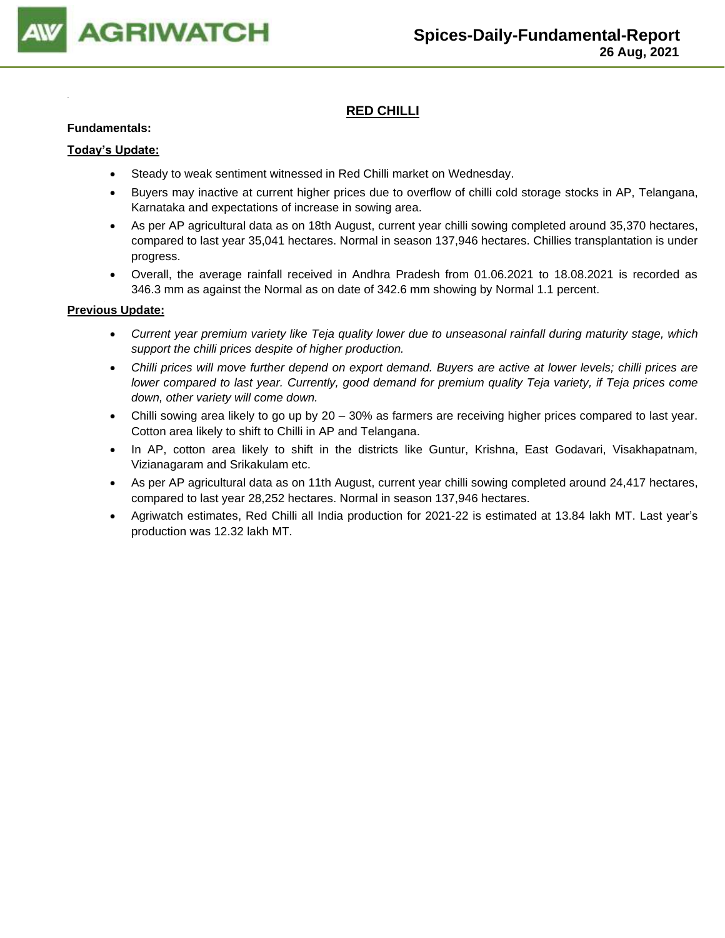

## **RED CHILLI**

#### **Fundamentals:**

#### **Today's Update:**

- Steady to weak sentiment witnessed in Red Chilli market on Wednesday.
- Buyers may inactive at current higher prices due to overflow of chilli cold storage stocks in AP, Telangana, Karnataka and expectations of increase in sowing area.
- As per AP agricultural data as on 18th August, current year chilli sowing completed around 35,370 hectares, compared to last year 35,041 hectares. Normal in season 137,946 hectares. Chillies transplantation is under progress.
- Overall, the average rainfall received in Andhra Pradesh from 01.06.2021 to 18.08.2021 is recorded as 346.3 mm as against the Normal as on date of 342.6 mm showing by Normal 1.1 percent.

- *Current year premium variety like Teja quality lower due to unseasonal rainfall during maturity stage, which support the chilli prices despite of higher production.*
- *Chilli prices will move further depend on export demand. Buyers are active at lower levels; chilli prices are lower compared to last year. Currently, good demand for premium quality Teja variety, if Teja prices come down, other variety will come down.*
- Chilli sowing area likely to go up by 20 30% as farmers are receiving higher prices compared to last year. Cotton area likely to shift to Chilli in AP and Telangana.
- In AP, cotton area likely to shift in the districts like Guntur, Krishna, East Godavari, Visakhapatnam, Vizianagaram and Srikakulam etc.
- As per AP agricultural data as on 11th August, current year chilli sowing completed around 24,417 hectares, compared to last year 28,252 hectares. Normal in season 137,946 hectares.
- Agriwatch estimates, Red Chilli all India production for 2021-22 is estimated at 13.84 lakh MT. Last year's production was 12.32 lakh MT.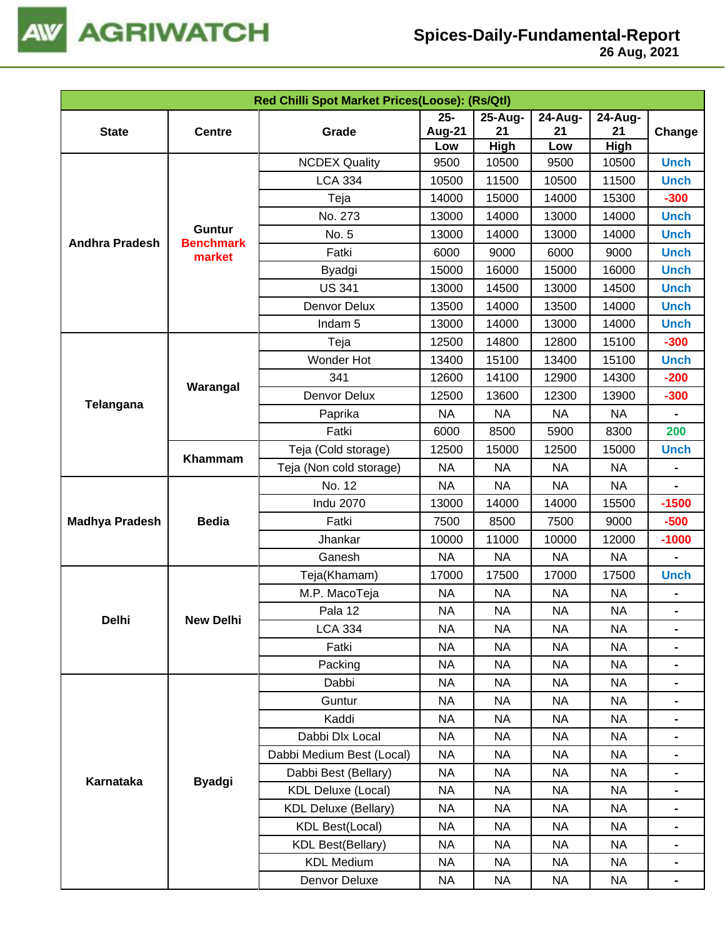

|                       |                            | Red Chilli Spot Market Prices(Loose): (Rs/Qtl) |               |             |           |             |                |
|-----------------------|----------------------------|------------------------------------------------|---------------|-------------|-----------|-------------|----------------|
|                       |                            |                                                | $25 -$        | 25-Aug-     | 24-Aug-   | 24-Aug-     |                |
| <b>State</b>          | <b>Centre</b>              | Grade                                          | <b>Aug-21</b> | 21          | 21        | 21          | Change         |
|                       |                            |                                                | Low           | <b>High</b> | Low       | <b>High</b> |                |
|                       |                            | <b>NCDEX Quality</b>                           | 9500          | 10500       | 9500      | 10500       | <b>Unch</b>    |
|                       |                            | <b>LCA 334</b>                                 | 10500         | 11500       | 10500     | 11500       | <b>Unch</b>    |
|                       |                            | Teja                                           | 14000         | 15000       | 14000     | 15300       | $-300$         |
|                       | Guntur<br><b>Benchmark</b> | No. 273                                        | 13000         | 14000       | 13000     | 14000       | <b>Unch</b>    |
| <b>Andhra Pradesh</b> |                            | No. 5                                          | 13000         | 14000       | 13000     | 14000       | <b>Unch</b>    |
|                       | market                     | Fatki                                          | 6000          | 9000        | 6000      | 9000        | <b>Unch</b>    |
|                       |                            | Byadgi                                         | 15000         | 16000       | 15000     | 16000       | <b>Unch</b>    |
|                       |                            | <b>US 341</b>                                  | 13000         | 14500       | 13000     | 14500       | <b>Unch</b>    |
|                       |                            | Denvor Delux                                   | 13500         | 14000       | 13500     | 14000       | <b>Unch</b>    |
|                       |                            | Indam <sub>5</sub>                             | 13000         | 14000       | 13000     | 14000       | <b>Unch</b>    |
|                       |                            | Teja                                           | 12500         | 14800       | 12800     | 15100       | $-300$         |
|                       |                            | Wonder Hot                                     | 13400         | 15100       | 13400     | 15100       | <b>Unch</b>    |
| Telangana             | Warangal                   | 341                                            | 12600         | 14100       | 12900     | 14300       | $-200$         |
|                       |                            | Denvor Delux                                   | 12500         | 13600       | 12300     | 13900       | $-300$         |
|                       |                            | Paprika                                        | <b>NA</b>     | <b>NA</b>   | <b>NA</b> | <b>NA</b>   |                |
|                       |                            | Fatki                                          | 6000          | 8500        | 5900      | 8300        | 200            |
|                       | Khammam                    | Teja (Cold storage)                            | 12500         | 15000       | 12500     | 15000       | <b>Unch</b>    |
|                       |                            | Teja (Non cold storage)                        | <b>NA</b>     | <b>NA</b>   | <b>NA</b> | <b>NA</b>   |                |
|                       |                            | No. 12                                         | <b>NA</b>     | <b>NA</b>   | <b>NA</b> | <b>NA</b>   |                |
|                       |                            | <b>Indu 2070</b>                               | 13000         | 14000       | 14000     | 15500       | $-1500$        |
| <b>Madhya Pradesh</b> | <b>Bedia</b>               | Fatki                                          | 7500          | 8500        | 7500      | 9000        | $-500$         |
|                       |                            | Jhankar                                        | 10000         | 11000       | 10000     | 12000       | $-1000$        |
|                       |                            | Ganesh                                         | <b>NA</b>     | <b>NA</b>   | <b>NA</b> | <b>NA</b>   |                |
|                       |                            | Teja(Khamam)                                   | 17000         | 17500       | 17000     | 17500       | <b>Unch</b>    |
|                       |                            | M.P. MacoTeja                                  | <b>NA</b>     | <b>NA</b>   | <b>NA</b> | <b>NA</b>   |                |
|                       |                            | Pala 12                                        | <b>NA</b>     | <b>NA</b>   | <b>NA</b> | <b>NA</b>   |                |
| Delhi                 | <b>New Delhi</b>           | <b>LCA 334</b>                                 | <b>NA</b>     | <b>NA</b>   | <b>NA</b> | <b>NA</b>   | $\blacksquare$ |
|                       |                            | Fatki                                          | <b>NA</b>     | <b>NA</b>   | <b>NA</b> | <b>NA</b>   |                |
|                       |                            | Packing                                        | <b>NA</b>     | <b>NA</b>   | <b>NA</b> | <b>NA</b>   | $\blacksquare$ |
|                       |                            | Dabbi                                          | <b>NA</b>     | <b>NA</b>   | <b>NA</b> | NA          |                |
|                       |                            | Guntur                                         | <b>NA</b>     | <b>NA</b>   | <b>NA</b> | NA          | $\blacksquare$ |
|                       |                            | Kaddi                                          | <b>NA</b>     | <b>NA</b>   | <b>NA</b> | NA          |                |
|                       |                            | Dabbi Dlx Local                                | <b>NA</b>     | <b>NA</b>   | <b>NA</b> | <b>NA</b>   | $\blacksquare$ |
|                       |                            | Dabbi Medium Best (Local)                      | NA            | <b>NA</b>   | NA        | NA          |                |
|                       |                            | Dabbi Best (Bellary)                           | <b>NA</b>     | <b>NA</b>   | <b>NA</b> | <b>NA</b>   |                |
| Karnataka             | <b>Byadgi</b>              | <b>KDL Deluxe (Local)</b>                      | NA            | <b>NA</b>   | NA        | NA          |                |
|                       |                            | <b>KDL Deluxe (Bellary)</b>                    | <b>NA</b>     | <b>NA</b>   | <b>NA</b> | <b>NA</b>   |                |
|                       |                            | <b>KDL Best(Local)</b>                         | <b>NA</b>     | <b>NA</b>   | <b>NA</b> | <b>NA</b>   |                |
|                       |                            | <b>KDL Best(Bellary)</b>                       | <b>NA</b>     | <b>NA</b>   | <b>NA</b> | <b>NA</b>   |                |
|                       |                            | <b>KDL Medium</b>                              | NA            | NA          | NA        | NA          |                |
|                       |                            | Denvor Deluxe                                  | <b>NA</b>     | <b>NA</b>   | <b>NA</b> | <b>NA</b>   | $\blacksquare$ |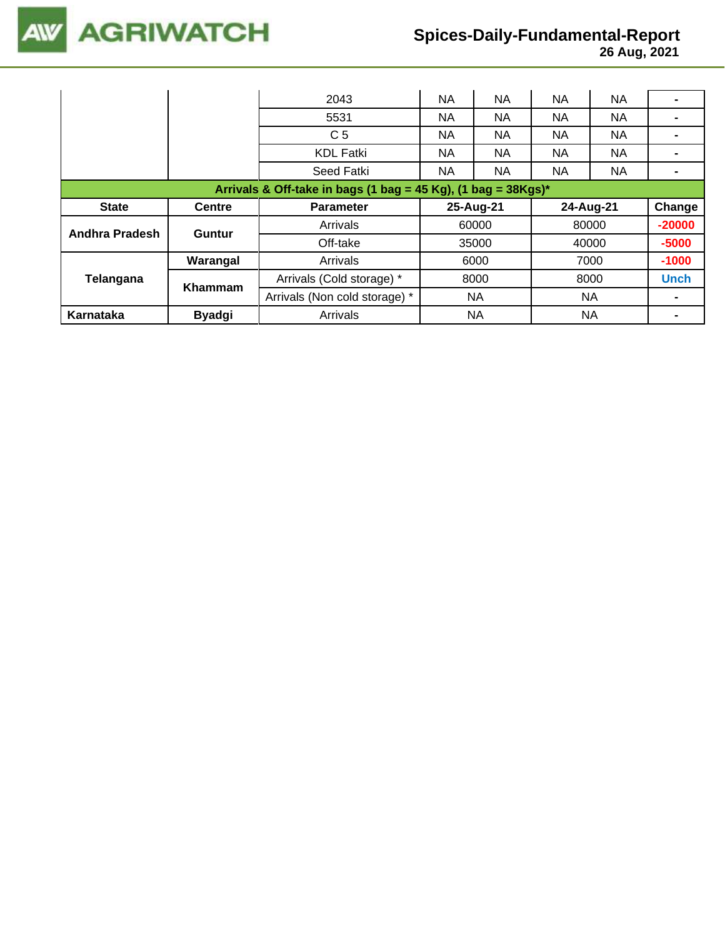

 **26 Aug, 2021**

|                                                                  |                | 2043                          | <b>NA</b> | <b>NA</b> | <b>NA</b> | <b>NA</b> |             |  |  |  |
|------------------------------------------------------------------|----------------|-------------------------------|-----------|-----------|-----------|-----------|-------------|--|--|--|
|                                                                  |                | 5531                          | <b>NA</b> | <b>NA</b> | <b>NA</b> | NA        |             |  |  |  |
|                                                                  |                | C <sub>5</sub>                | NA.       | NA.       | <b>NA</b> | NA.       |             |  |  |  |
|                                                                  |                | <b>KDL Fatki</b>              | NA.       | <b>NA</b> | <b>NA</b> | NA        |             |  |  |  |
|                                                                  |                | Seed Fatki                    | NA.       | <b>NA</b> | <b>NA</b> | NA.       |             |  |  |  |
| Arrivals & Off-take in bags (1 bag = 45 Kg), (1 bag = $38Kgs$ )* |                |                               |           |           |           |           |             |  |  |  |
| <b>State</b>                                                     | <b>Centre</b>  | <b>Parameter</b>              |           | 25-Aug-21 |           | 24-Aug-21 |             |  |  |  |
| <b>Andhra Pradesh</b>                                            | Guntur         | Arrivals                      | 60000     |           | 80000     |           | $-20000$    |  |  |  |
|                                                                  |                | Off-take<br>35000             |           | 40000     |           | $-5000$   |             |  |  |  |
|                                                                  | Warangal       | Arrivals                      | 6000      |           | 7000      |           | $-1000$     |  |  |  |
| Telangana                                                        | <b>Khammam</b> | Arrivals (Cold storage) *     |           | 8000      |           | 8000      | <b>Unch</b> |  |  |  |
|                                                                  |                | Arrivals (Non cold storage) * | <b>NA</b> |           | <b>NA</b> |           |             |  |  |  |
| Karnataka                                                        | <b>Byadgi</b>  | Arrivals                      | NA        |           | <b>NA</b> |           |             |  |  |  |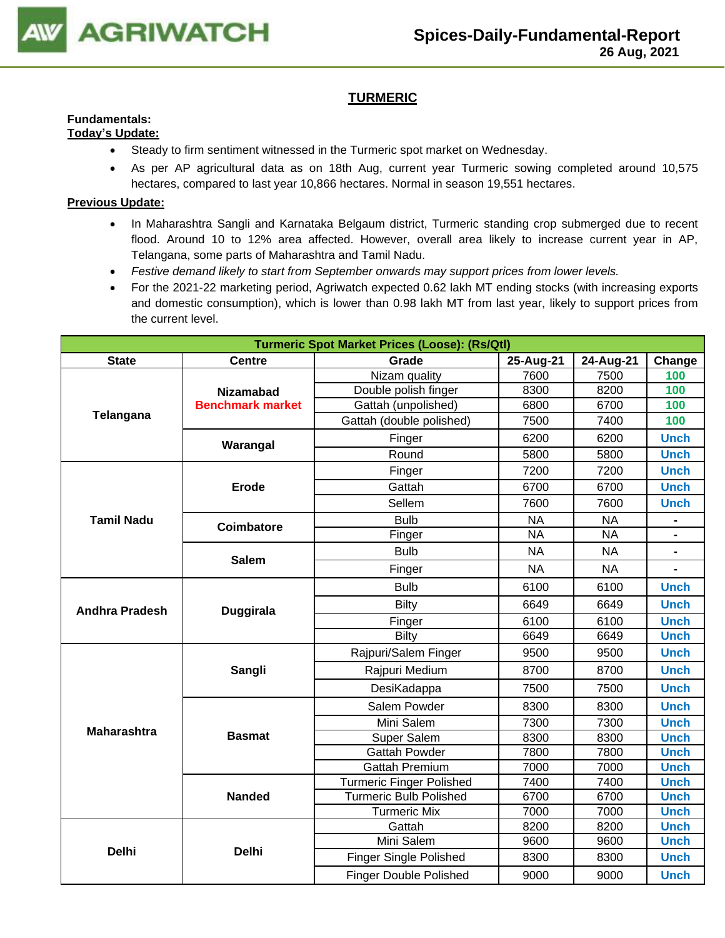

## **TURMERIC**

#### **Fundamentals: Today's Update:**

- Steady to firm sentiment witnessed in the Turmeric spot market on Wednesday.
- As per AP agricultural data as on 18th Aug, current year Turmeric sowing completed around 10,575 hectares, compared to last year 10,866 hectares. Normal in season 19,551 hectares.

- In Maharashtra Sangli and Karnataka Belgaum district, Turmeric standing crop submerged due to recent flood. Around 10 to 12% area affected. However, overall area likely to increase current year in AP, Telangana, some parts of Maharashtra and Tamil Nadu.
- *Festive demand likely to start from September onwards may support prices from lower levels.*
- For the 2021-22 marketing period, Agriwatch expected 0.62 lakh MT ending stocks (with increasing exports and domestic consumption), which is lower than 0.98 lakh MT from last year, likely to support prices from the current level.

|                       |                         | <b>Turmeric Spot Market Prices (Loose): (Rs/Qtl)</b> |           |                 |                |
|-----------------------|-------------------------|------------------------------------------------------|-----------|-----------------|----------------|
| <b>State</b>          | <b>Centre</b>           | Grade                                                | 25-Aug-21 | 24-Aug-21       | Change         |
|                       |                         | Nizam quality                                        | 7600      | 7500            | 100            |
|                       | <b>Nizamabad</b>        | Double polish finger                                 | 8300      | 8200            | 100            |
| Telangana             | <b>Benchmark market</b> | Gattah (unpolished)                                  | 6800      | 6700            | 100            |
|                       |                         | Gattah (double polished)                             | 7500      | 7400            | 100            |
|                       | Warangal                | Finger                                               | 6200      | 6200            | <b>Unch</b>    |
|                       |                         | Round                                                | 5800      | 5800            | <b>Unch</b>    |
|                       |                         | Finger                                               | 7200      | 7200            | <b>Unch</b>    |
|                       | <b>Erode</b>            | Gattah                                               | 6700      | 6700            | <b>Unch</b>    |
|                       |                         | Sellem                                               | 7600      | 7600            | <b>Unch</b>    |
| <b>Tamil Nadu</b>     | Coimbatore              | <b>Bulb</b>                                          | <b>NA</b> | <b>NA</b>       |                |
|                       |                         | Finger                                               | <b>NA</b> | $\overline{NA}$ |                |
|                       | <b>Salem</b>            | <b>Bulb</b>                                          | <b>NA</b> | <b>NA</b>       |                |
|                       |                         | Finger                                               | <b>NA</b> | <b>NA</b>       | $\blacksquare$ |
|                       |                         | <b>Bulb</b>                                          | 6100      | 6100            | <b>Unch</b>    |
| <b>Andhra Pradesh</b> | Duggirala               | Bilty                                                | 6649      | 6649            | <b>Unch</b>    |
|                       |                         | Finger                                               | 6100      | 6100            | <b>Unch</b>    |
|                       |                         | Bilty                                                | 6649      | 6649            | <b>Unch</b>    |
|                       |                         | Rajpuri/Salem Finger                                 | 9500      | 9500            | <b>Unch</b>    |
|                       | Sangli                  | Rajpuri Medium                                       | 8700      | 8700            | <b>Unch</b>    |
|                       |                         | DesiKadappa                                          | 7500      | 7500            | <b>Unch</b>    |
|                       |                         | Salem Powder                                         | 8300      | 8300            | <b>Unch</b>    |
| <b>Maharashtra</b>    |                         | Mini Salem                                           | 7300      | 7300            | <b>Unch</b>    |
|                       | <b>Basmat</b>           | Super Salem                                          | 8300      | 8300            | <b>Unch</b>    |
|                       |                         | <b>Gattah Powder</b>                                 | 7800      | 7800            | <b>Unch</b>    |
|                       |                         | <b>Gattah Premium</b>                                | 7000      | 7000            | <b>Unch</b>    |
|                       |                         | <b>Turmeric Finger Polished</b>                      | 7400      | 7400            | <b>Unch</b>    |
|                       | <b>Nanded</b>           | <b>Turmeric Bulb Polished</b>                        | 6700      | 6700            | <b>Unch</b>    |
|                       |                         | <b>Turmeric Mix</b>                                  | 7000      | 7000            | <b>Unch</b>    |
|                       |                         | Gattah                                               | 8200      | 8200            | <b>Unch</b>    |
| <b>Delhi</b>          | <b>Delhi</b>            | Mini Salem                                           | 9600      | 9600            | <b>Unch</b>    |
|                       |                         | Finger Single Polished                               | 8300      | 8300            | <b>Unch</b>    |
|                       |                         | <b>Finger Double Polished</b>                        | 9000      | 9000            | <b>Unch</b>    |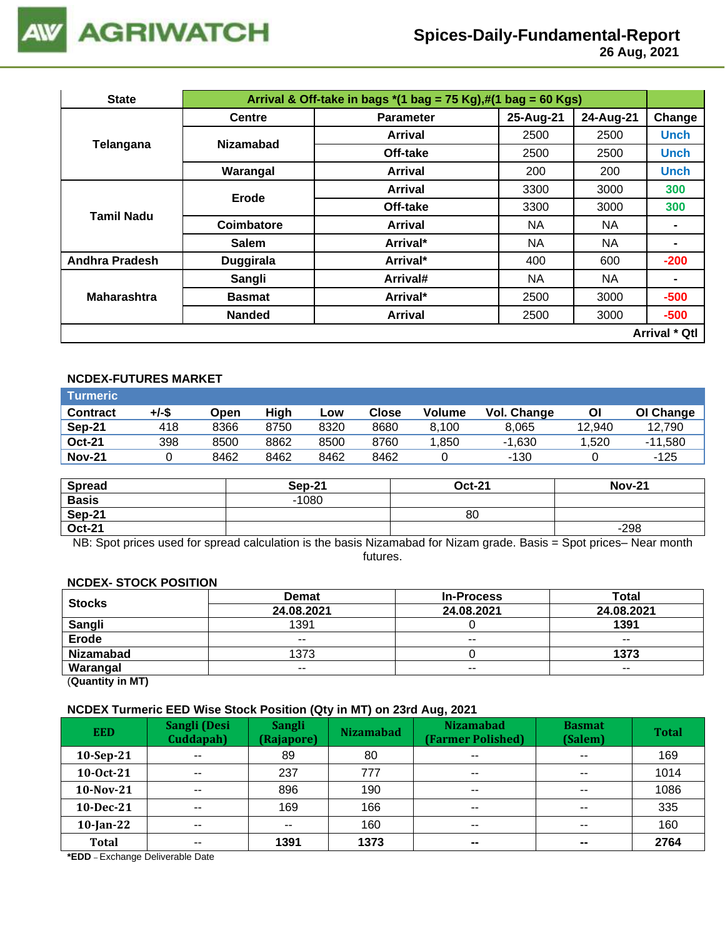

 **26 Aug, 2021**

| <b>State</b>          |                  | Arrival & Off-take in bags $*(1 \text{ bag} = 75 \text{ Kg}),\#(1 \text{ bag} = 60 \text{ Kg})$ |           |           |                      |
|-----------------------|------------------|-------------------------------------------------------------------------------------------------|-----------|-----------|----------------------|
|                       | <b>Centre</b>    | <b>Parameter</b>                                                                                | 25-Aug-21 | 24-Aug-21 | Change               |
|                       | <b>Nizamabad</b> | Arrival                                                                                         | 2500      | 2500      | <b>Unch</b>          |
| Telangana             |                  | Off-take                                                                                        | 2500      | 2500      | <b>Unch</b>          |
|                       | Warangal         | Arrival                                                                                         | 200       | 200       | <b>Unch</b>          |
|                       | Erode            | <b>Arrival</b>                                                                                  | 3300      | 3000      | 300                  |
| Tamil Nadu            |                  | Off-take                                                                                        | 3300      | 3000      | 300                  |
|                       | Coimbatore       | Arrival                                                                                         | NA.       | NA.       |                      |
|                       | <b>Salem</b>     | Arrival*                                                                                        | <b>NA</b> | NA        | -                    |
| <b>Andhra Pradesh</b> | <b>Duggirala</b> | Arrival*                                                                                        | 400       | 600       | $-200$               |
|                       | Sangli           | Arrival#                                                                                        | NA.       | NA.       | $\blacksquare$       |
| <b>Maharashtra</b>    | <b>Basmat</b>    | Arrival*                                                                                        | 2500      | 3000      | $-500$               |
|                       | <b>Nanded</b>    | <b>Arrival</b>                                                                                  | 2500      | 3000      | $-500$               |
|                       |                  |                                                                                                 |           |           | <b>Arrival * Qtl</b> |

### **NCDEX-FUTURES MARKET**

| Turmeric        |       |      |      |      |              |               |             |        |           |
|-----------------|-------|------|------|------|--------------|---------------|-------------|--------|-----------|
| <b>Contract</b> | +/-\$ | Open | High | Low  | <b>Close</b> | <b>Volume</b> | Vol. Change | Οl     | OI Change |
| Sep-21          | 418   | 8366 | 8750 | 8320 | 8680         | 8.100         | 8.065       | 12.940 | 12,790    |
| <b>Oct-21</b>   | 398   | 8500 | 8862 | 8500 | 8760         | .850          | $-1.630$    | .520   | $-11,580$ |
| <b>Nov-21</b>   |       | 8462 | 8462 | 8462 | 8462         |               | -130        |        | -125      |

| <b>Spread</b> | <b>Sep-21</b> | <b>Oct-21</b> | <b>Nov-21</b> |
|---------------|---------------|---------------|---------------|
| <b>Basis</b>  | $-1080$       |               |               |
| Sep-21        |               | 80            |               |
| <b>Oct-21</b> |               |               | $-298$        |

NB: Spot prices used for spread calculation is the basis Nizamabad for Nizam grade. Basis = Spot prices– Near month futures.

#### **NCDEX- STOCK POSITION**

| <b>Stocks</b>    | <b>Demat</b> | <b>In-Process</b>        | Total         |
|------------------|--------------|--------------------------|---------------|
|                  | 24.08.2021   | 24.08.2021               | 24.08.2021    |
| Sangli           | 1391         |                          | 1391          |
| <b>Erode</b>     | $- -$        | $\overline{\phantom{a}}$ | $\sim$ $\sim$ |
| <b>Nizamabad</b> | 1373         |                          | 1373          |
| Warangal         | $- -$        | $- -$                    | $- -$         |

(**Quantity in MT)**

#### **NCDEX Turmeric EED Wise Stock Position (Qty in MT) on 23rd Aug, 2021**

| <b>EED</b>   | Sangli (Desi<br>Cuddapah) | <b>Sangli</b><br>(Rajapore) | <b>Nizamabad</b> | <b>Nizamabad</b><br>(Farmer Polished) | <b>Basmat</b><br>(Salem) | <b>Total</b> |
|--------------|---------------------------|-----------------------------|------------------|---------------------------------------|--------------------------|--------------|
| $10-Sep-21$  | $- -$                     | 89                          | 80               | $\sim$ $\sim$                         | $\sim$ $\sim$            | 169          |
| 10-0ct-21    | $- -$                     | 237                         | 777              | $\sim$ $\sim$                         | $\sim$ $\sim$            | 1014         |
| 10-Nov-21    | $- -$                     | 896                         | 190              | $\sim$ $\sim$                         | $\sim$ $\sim$            | 1086         |
| 10-Dec-21    | $\overline{\phantom{a}}$  | 169                         | 166              | $\overline{\phantom{a}}$              | $\sim$ $\sim$            | 335          |
| $10$ -Jan-22 | $- -$                     | $- -$                       | 160              | $\sim$ $\sim$                         | $\sim$ $\sim$            | 160          |
| <b>Total</b> | $- -$                     | 1391                        | 1373             | $\overline{\phantom{a}}$              | $\sim$                   | 2764         |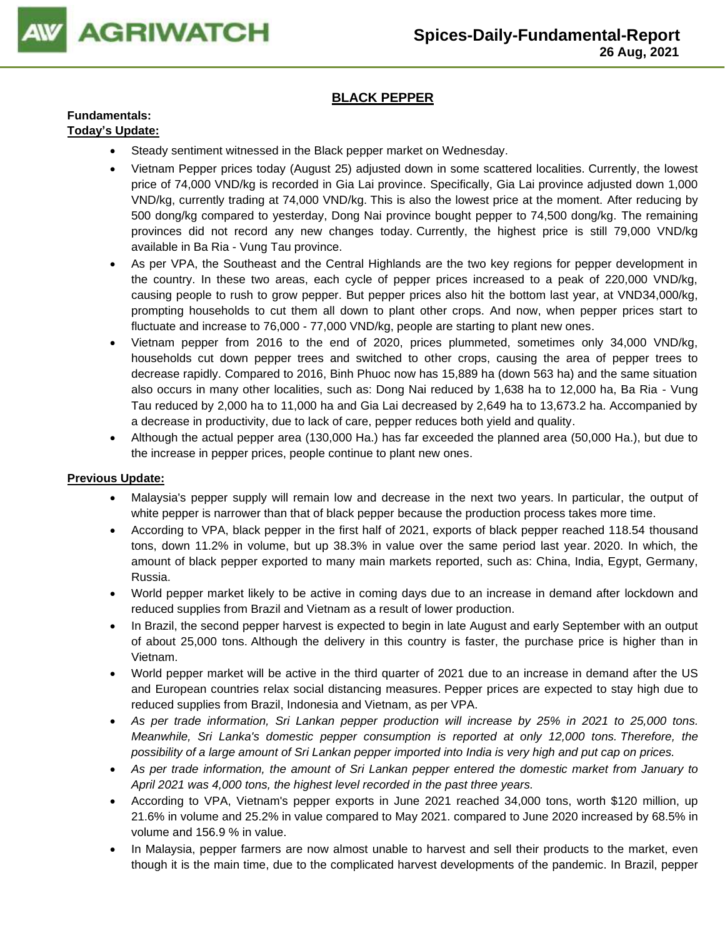

## **BLACK PEPPER**

## **Fundamentals:**

## **Today's Update:**

- Steady sentiment witnessed in the Black pepper market on Wednesday.
- Vietnam Pepper prices today (August 25) adjusted down in some scattered localities. Currently, the lowest price of 74,000 VND/kg is recorded in Gia Lai province. Specifically, Gia Lai province adjusted down 1,000 VND/kg, currently trading at 74,000 VND/kg. This is also the lowest price at the moment. After reducing by 500 dong/kg compared to yesterday, Dong Nai province bought pepper to 74,500 dong/kg. The remaining provinces did not record any new changes today. Currently, the highest price is still 79,000 VND/kg available in Ba Ria - Vung Tau province.
- As per VPA, the Southeast and the Central Highlands are the two key regions for pepper development in the country. In these two areas, each cycle of pepper prices increased to a peak of 220,000 VND/kg, causing people to rush to grow pepper. But pepper prices also hit the bottom last year, at VND34,000/kg, prompting households to cut them all down to plant other crops. And now, when pepper prices start to fluctuate and increase to 76,000 - 77,000 VND/kg, people are starting to plant new ones.
- Vietnam pepper from 2016 to the end of 2020, prices plummeted, sometimes only 34,000 VND/kg, households cut down pepper trees and switched to other crops, causing the area of pepper trees to decrease rapidly. Compared to 2016, Binh Phuoc now has 15,889 ha (down 563 ha) and the same situation also occurs in many other localities, such as: Dong Nai reduced by 1,638 ha to 12,000 ha, Ba Ria - Vung Tau reduced by 2,000 ha to 11,000 ha and Gia Lai decreased by 2,649 ha to 13,673.2 ha. Accompanied by a decrease in productivity, due to lack of care, pepper reduces both yield and quality.
- Although the actual pepper area (130,000 Ha.) has far exceeded the planned area (50,000 Ha.), but due to the increase in pepper prices, people continue to plant new ones.

- Malaysia's pepper supply will remain low and decrease in the next two years. In particular, the output of white pepper is narrower than that of black pepper because the production process takes more time.
- According to VPA, black pepper in the first half of 2021, exports of black pepper reached 118.54 thousand tons, down 11.2% in volume, but up 38.3% in value over the same period last year. 2020. In which, the amount of black pepper exported to many main markets reported, such as: China, India, Egypt, Germany, Russia.
- World pepper market likely to be active in coming days due to an increase in demand after lockdown and reduced supplies from Brazil and Vietnam as a result of lower production.
- In Brazil, the second pepper harvest is expected to begin in late August and early September with an output of about 25,000 tons. Although the delivery in this country is faster, the purchase price is higher than in Vietnam.
- World pepper market will be active in the third quarter of 2021 due to an increase in demand after the US and European countries relax social distancing measures. Pepper prices are expected to stay high due to reduced supplies from Brazil, Indonesia and Vietnam, as per VPA.
- *As per trade information, Sri Lankan pepper production will increase by 25% in 2021 to 25,000 tons. Meanwhile, Sri Lanka's domestic pepper consumption is reported at only 12,000 tons. Therefore, the possibility of a large amount of Sri Lankan pepper imported into India is very high and put cap on prices.*
- *As per trade information, the amount of Sri Lankan pepper entered the domestic market from January to April 2021 was 4,000 tons, the highest level recorded in the past three years.*
- According to VPA, Vietnam's pepper exports in June 2021 reached 34,000 tons, worth \$120 million, up 21.6% in volume and 25.2% in value compared to May 2021. compared to June 2020 increased by 68.5% in volume and 156.9 % in value.
- In Malaysia, pepper farmers are now almost unable to harvest and sell their products to the market, even though it is the main time, due to the complicated harvest developments of the pandemic. In Brazil, pepper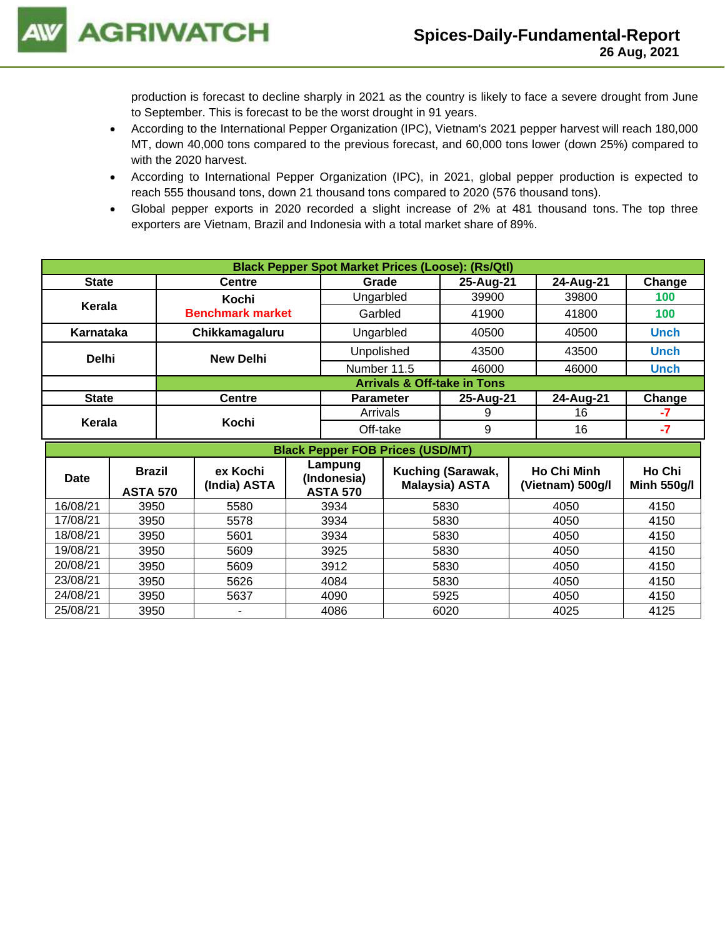production is forecast to decline sharply in 2021 as the country is likely to face a severe drought from June to September. This is forecast to be the worst drought in 91 years.

- According to the International Pepper Organization (IPC), Vietnam's 2021 pepper harvest will reach 180,000 MT, down 40,000 tons compared to the previous forecast, and 60,000 tons lower (down 25%) compared to with the 2020 harvest.
- According to International Pepper Organization (IPC), in 2021, global pepper production is expected to reach 555 thousand tons, down 21 thousand tons compared to 2020 (576 thousand tons).
- Global pepper exports in 2020 recorded a slight increase of 2% at 481 thousand tons. The top three exporters are Vietnam, Brazil and Indonesia with a total market share of 89%.

|              |                                         |  |                                  |  |                          |                  | <b>Black Pepper Spot Market Prices (Loose): (Rs/Qtl)</b> |  |                    |             |
|--------------|-----------------------------------------|--|----------------------------------|--|--------------------------|------------------|----------------------------------------------------------|--|--------------------|-------------|
| <b>State</b> |                                         |  | <b>Centre</b>                    |  | Grade                    |                  | 25-Aug-21                                                |  | 24-Aug-21          | Change      |
|              |                                         |  | Kochi<br><b>Benchmark market</b> |  | Ungarbled                |                  | 39900                                                    |  | 39800              | 100         |
|              | Kerala                                  |  |                                  |  |                          | Garbled<br>41900 |                                                          |  | 41800              | 100         |
| Karnataka    |                                         |  | Chikkamagaluru                   |  | Ungarbled                |                  | 40500                                                    |  | 40500              | <b>Unch</b> |
| <b>Delhi</b> |                                         |  | <b>New Delhi</b>                 |  | Unpolished               |                  | 43500                                                    |  | 43500              | <b>Unch</b> |
|              |                                         |  |                                  |  | Number 11.5              |                  | 46000                                                    |  | 46000              | <b>Unch</b> |
|              |                                         |  |                                  |  |                          |                  | <b>Arrivals &amp; Off-take in Tons</b>                   |  |                    |             |
| <b>State</b> |                                         |  | <b>Centre</b>                    |  | <b>Parameter</b>         |                  | 25-Aug-21                                                |  | 24-Aug-21          | Change      |
|              |                                         |  |                                  |  | Arrivals                 |                  | 9                                                        |  | 16                 | -7          |
| Kerala       |                                         |  | Kochi                            |  |                          | Off-take         |                                                          |  | 16                 | -7          |
|              | <b>Black Pepper FOB Prices (USD/MT)</b> |  |                                  |  |                          |                  |                                                          |  |                    |             |
| <b>Dota</b>  | <b>Brazil</b>                           |  | ex Kochi                         |  | Lampung<br>$l$ ndanaaia) |                  | Kuching (Sarawak,                                        |  | <b>Ho Chi Minh</b> | Ho Chi      |

| <b>Brazil</b><br><b>Date</b> |                 | ex Kochi     | Lanpung<br>(Indonesia) | Kuching (Sarawak,     | <b>Ho Chi Minh</b> | Ho Chi             |
|------------------------------|-----------------|--------------|------------------------|-----------------------|--------------------|--------------------|
|                              | <b>ASTA 570</b> | (India) ASTA | <b>ASTA 570</b>        | <b>Malaysia) ASTA</b> | (Vietnam) 500g/l   | <b>Minh 550g/l</b> |
| 16/08/21                     | 3950            | 5580         | 3934                   | 5830                  | 4050               | 4150               |
| 17/08/21                     | 3950            | 5578         | 3934                   | 5830                  | 4050               | 4150               |
| 18/08/21                     | 3950            | 5601         | 3934                   | 5830                  | 4050               | 4150               |
| 19/08/21                     | 3950            | 5609         | 3925                   | 5830                  | 4050               | 4150               |
| 20/08/21                     | 3950            | 5609         | 3912                   | 5830                  | 4050               | 4150               |
| 23/08/21                     | 3950            | 5626         | 4084                   | 5830                  | 4050               | 4150               |
| 24/08/21                     | 3950            | 5637         | 4090                   | 5925                  | 4050               | 4150               |
| 25/08/21                     | 3950            | ٠            | 4086                   | 6020                  | 4025               | 4125               |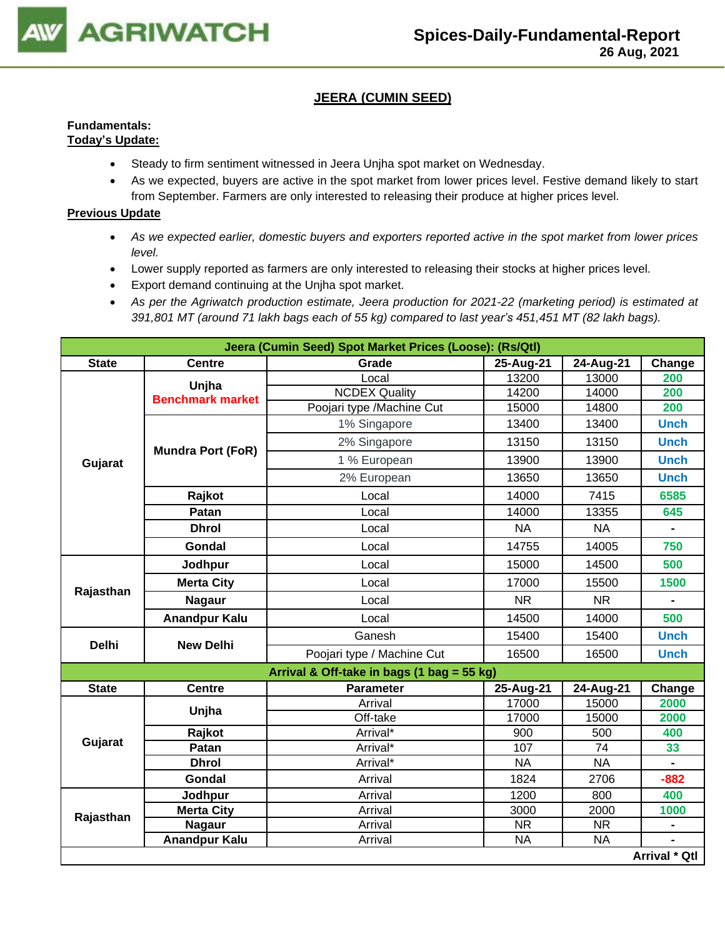

## **JEERA (CUMIN SEED)**

#### **Fundamentals: Today's Update:**

- Steady to firm sentiment witnessed in Jeera Unjha spot market on Wednesday.
- As we expected, buyers are active in the spot market from lower prices level. Festive demand likely to start from September. Farmers are only interested to releasing their produce at higher prices level.

- *As we expected earlier, domestic buyers and exporters reported active in the spot market from lower prices level.*
- Lower supply reported as farmers are only interested to releasing their stocks at higher prices level.
- Export demand continuing at the Unjha spot market.
- *As per the Agriwatch production estimate, Jeera production for 2021-22 (marketing period) is estimated at 391,801 MT (around 71 lakh bags each of 55 kg) compared to last year's 451,451 MT (82 lakh bags).*

|              |                          | Jeera (Cumin Seed) Spot Market Prices (Loose): (Rs/Qtl) |                                                                                                                                                                                                                                                                                                                                                                                                                                                                                                                                                     |           |                      |
|--------------|--------------------------|---------------------------------------------------------|-----------------------------------------------------------------------------------------------------------------------------------------------------------------------------------------------------------------------------------------------------------------------------------------------------------------------------------------------------------------------------------------------------------------------------------------------------------------------------------------------------------------------------------------------------|-----------|----------------------|
| <b>State</b> | <b>Centre</b>            | Grade                                                   | 25-Aug-21<br>24-Aug-21<br>Change<br>Local<br>13200<br>13000<br><b>NCDEX Quality</b><br>14200<br>14000<br>15000<br>14800<br>1% Singapore<br>13400<br>13400<br>2% Singapore<br>13150<br>13150<br>1 % European<br>13900<br>13900<br>2% European<br>13650<br>13650<br>Local<br>14000<br>7415<br>14000<br>13355<br>Local<br><b>NA</b><br><b>NA</b><br>Local<br>Local<br>14755<br>14005<br>15000<br>Local<br>14500<br>17000<br>15500<br>Local<br><b>NR</b><br><b>NR</b><br>Local<br>14500<br>14000<br>Local<br>Ganesh<br>15400<br>15400<br>16500<br>16500 |           |                      |
|              | Unjha                    |                                                         |                                                                                                                                                                                                                                                                                                                                                                                                                                                                                                                                                     |           | 200                  |
|              | <b>Benchmark market</b>  |                                                         |                                                                                                                                                                                                                                                                                                                                                                                                                                                                                                                                                     |           | 200                  |
|              |                          | Poojari type /Machine Cut                               |                                                                                                                                                                                                                                                                                                                                                                                                                                                                                                                                                     |           | 200                  |
|              |                          |                                                         |                                                                                                                                                                                                                                                                                                                                                                                                                                                                                                                                                     |           | <b>Unch</b>          |
|              | <b>Mundra Port (FoR)</b> |                                                         |                                                                                                                                                                                                                                                                                                                                                                                                                                                                                                                                                     |           | <b>Unch</b>          |
| Gujarat      |                          |                                                         |                                                                                                                                                                                                                                                                                                                                                                                                                                                                                                                                                     |           | <b>Unch</b>          |
|              |                          |                                                         |                                                                                                                                                                                                                                                                                                                                                                                                                                                                                                                                                     |           | <b>Unch</b>          |
|              | Rajkot                   |                                                         |                                                                                                                                                                                                                                                                                                                                                                                                                                                                                                                                                     |           | 6585                 |
|              | Patan                    |                                                         |                                                                                                                                                                                                                                                                                                                                                                                                                                                                                                                                                     |           | 645                  |
|              | <b>Dhrol</b>             |                                                         |                                                                                                                                                                                                                                                                                                                                                                                                                                                                                                                                                     |           |                      |
|              | Gondal                   |                                                         |                                                                                                                                                                                                                                                                                                                                                                                                                                                                                                                                                     |           | 750                  |
|              | Jodhpur                  |                                                         |                                                                                                                                                                                                                                                                                                                                                                                                                                                                                                                                                     |           | 500                  |
|              | <b>Merta City</b>        |                                                         |                                                                                                                                                                                                                                                                                                                                                                                                                                                                                                                                                     |           | 1500                 |
| Rajasthan    | <b>Nagaur</b>            |                                                         |                                                                                                                                                                                                                                                                                                                                                                                                                                                                                                                                                     |           |                      |
|              | <b>Anandpur Kalu</b>     |                                                         |                                                                                                                                                                                                                                                                                                                                                                                                                                                                                                                                                     |           | 500                  |
| <b>Delhi</b> | <b>New Delhi</b>         |                                                         |                                                                                                                                                                                                                                                                                                                                                                                                                                                                                                                                                     |           | <b>Unch</b>          |
|              |                          | Poojari type / Machine Cut                              |                                                                                                                                                                                                                                                                                                                                                                                                                                                                                                                                                     |           | <b>Unch</b>          |
|              |                          | Arrival & Off-take in bags (1 bag = 55 kg)              |                                                                                                                                                                                                                                                                                                                                                                                                                                                                                                                                                     |           |                      |
| <b>State</b> | <b>Centre</b>            | Parameter                                               | 25-Aug-21                                                                                                                                                                                                                                                                                                                                                                                                                                                                                                                                           | 24-Aug-21 | Change               |
|              | Unjha                    | Arrival                                                 | 17000                                                                                                                                                                                                                                                                                                                                                                                                                                                                                                                                               | 15000     | 2000                 |
|              |                          | Off-take                                                | 17000                                                                                                                                                                                                                                                                                                                                                                                                                                                                                                                                               | 15000     | 2000                 |
|              | Rajkot                   | Arrival*                                                | 900                                                                                                                                                                                                                                                                                                                                                                                                                                                                                                                                                 | 500       | 400                  |
| Gujarat      | Patan                    | Arrival*                                                | 107                                                                                                                                                                                                                                                                                                                                                                                                                                                                                                                                                 | 74        | 33                   |
|              | <b>Dhrol</b>             | Arrival*                                                | <b>NA</b>                                                                                                                                                                                                                                                                                                                                                                                                                                                                                                                                           | <b>NA</b> | $\blacksquare$       |
|              | Gondal                   | Arrival                                                 | 1824                                                                                                                                                                                                                                                                                                                                                                                                                                                                                                                                                | 2706      | $-882$               |
|              | Jodhpur                  | Arrival                                                 | 1200                                                                                                                                                                                                                                                                                                                                                                                                                                                                                                                                                | 800       | 400                  |
| Rajasthan    | <b>Merta City</b>        | Arrival                                                 | 3000                                                                                                                                                                                                                                                                                                                                                                                                                                                                                                                                                | 2000      | 1000                 |
|              | <b>Nagaur</b>            | Arrival                                                 | <b>NR</b>                                                                                                                                                                                                                                                                                                                                                                                                                                                                                                                                           | <b>NR</b> |                      |
|              | <b>Anandpur Kalu</b>     | Arrival                                                 | <b>NA</b>                                                                                                                                                                                                                                                                                                                                                                                                                                                                                                                                           | <b>NA</b> |                      |
|              |                          |                                                         |                                                                                                                                                                                                                                                                                                                                                                                                                                                                                                                                                     |           | <b>Arrival * Qtl</b> |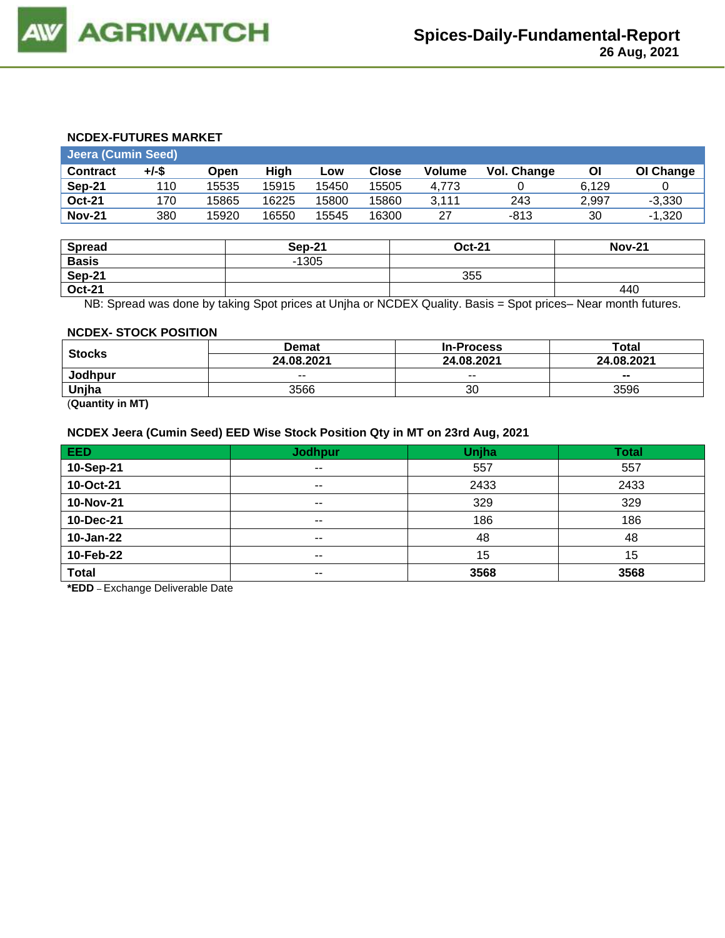#### **NCDEX-FUTURES MARKET**

|                 | <b>Jeera (Cumin Seed)</b> |       |       |       |              |        |             |       |           |  |  |  |
|-----------------|---------------------------|-------|-------|-------|--------------|--------|-------------|-------|-----------|--|--|--|
| <b>Contract</b> | +/-\$                     | Open  | High  | Low   | <b>Close</b> | Volume | Vol. Change | ΟI    | OI Change |  |  |  |
| Sep-21          | 110                       | 15535 | 15915 | 15450 | 15505        | 4.773  |             | 6.129 |           |  |  |  |
| <b>Oct-21</b>   | 170                       | 15865 | 16225 | 15800 | 15860        | 3.111  | 243         | 2.997 | $-3.330$  |  |  |  |
| <b>Nov-21</b>   | 380                       | 15920 | 16550 | 15545 | 16300        | 27     | $-813$      | 30    | $-1.320$  |  |  |  |

| <b>Spread</b> | <b>Sep-21</b> | <b>Oct-21</b> | <b>Nov-21</b> |
|---------------|---------------|---------------|---------------|
| <b>Basis</b>  | $-1305$       |               |               |
| <b>Sep-21</b> |               | 355           |               |
| <b>Oct-21</b> |               |               | 440           |

NB: Spread was done by taking Spot prices at Unjha or NCDEX Quality. Basis = Spot prices– Near month futures.

#### **NCDEX- STOCK POSITION**

|                                  | Demat      | <b>In-Process</b> | $\mathsf{Total}$ |  |
|----------------------------------|------------|-------------------|------------------|--|
| <b>Stocks</b>                    | 24.08.2021 | 24.08.2021        | 24.08.2021       |  |
| Jodhpur                          | $- -$      | $- -$             | --               |  |
| Uniha                            | 3566       | 30                | 3596             |  |
| $\overline{\phantom{a}}$<br>---- |            |                   |                  |  |

(**Quantity in MT)**

#### **NCDEX Jeera (Cumin Seed) EED Wise Stock Position Qty in MT on 23rd Aug, 2021**

| EED.         | <b>Jodhpur</b> | Unjha | <b>Total</b> |
|--------------|----------------|-------|--------------|
| 10-Sep-21    | $\sim$ $\sim$  | 557   | 557          |
| 10-Oct-21    | $- -$          | 2433  | 2433         |
| 10-Nov-21    | $- -$          | 329   | 329          |
| 10-Dec-21    | $- -$          | 186   | 186          |
| 10-Jan-22    | $\sim$ $\sim$  | 48    | 48           |
| 10-Feb-22    | $- -$          | 15    | 15           |
| <b>Total</b> | $- -$          | 3568  | 3568         |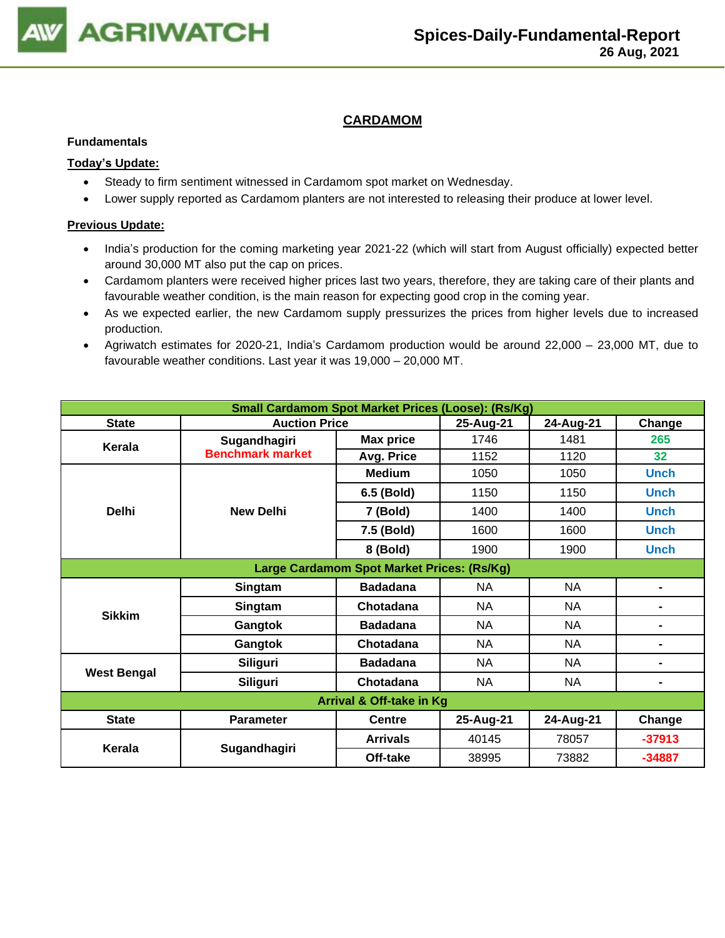

## **CARDAMOM**

#### **Fundamentals**

#### **Today's Update:**

- Steady to firm sentiment witnessed in Cardamom spot market on Wednesday.
- Lower supply reported as Cardamom planters are not interested to releasing their produce at lower level.

- India's production for the coming marketing year 2021-22 (which will start from August officially) expected better around 30,000 MT also put the cap on prices.
- Cardamom planters were received higher prices last two years, therefore, they are taking care of their plants and favourable weather condition, is the main reason for expecting good crop in the coming year.
- As we expected earlier, the new Cardamom supply pressurizes the prices from higher levels due to increased production.
- Agriwatch estimates for 2020-21, India's Cardamom production would be around 22,000 23,000 MT, due to favourable weather conditions. Last year it was 19,000 – 20,000 MT.

| <b>Small Cardamom Spot Market Prices (Loose): (Rs/Kg)</b> |                         |                                            |           |           |                |  |  |
|-----------------------------------------------------------|-------------------------|--------------------------------------------|-----------|-----------|----------------|--|--|
| <b>State</b>                                              | <b>Auction Price</b>    |                                            | 25-Aug-21 | 24-Aug-21 | Change         |  |  |
| Kerala                                                    | Sugandhagiri            | <b>Max price</b>                           | 1746      | 1481      | 265            |  |  |
|                                                           | <b>Benchmark market</b> | Avg. Price                                 | 1152      | 1120      | 32             |  |  |
|                                                           |                         | <b>Medium</b>                              | 1050      | 1050      | <b>Unch</b>    |  |  |
|                                                           |                         | 6.5 (Bold)                                 | 1150      | 1150      | <b>Unch</b>    |  |  |
| <b>Delhi</b>                                              | <b>New Delhi</b>        | 7 (Bold)                                   | 1400      | 1400      | <b>Unch</b>    |  |  |
|                                                           |                         | 7.5 (Bold)                                 | 1600      | 1600      | <b>Unch</b>    |  |  |
|                                                           |                         | 8 (Bold)                                   | 1900      | 1900      | <b>Unch</b>    |  |  |
|                                                           |                         | Large Cardamom Spot Market Prices: (Rs/Kg) |           |           |                |  |  |
|                                                           | Singtam                 | <b>Badadana</b>                            | <b>NA</b> | <b>NA</b> | ۰              |  |  |
| <b>Sikkim</b>                                             | Singtam                 | Chotadana                                  | <b>NA</b> | <b>NA</b> | -              |  |  |
|                                                           | Gangtok                 | <b>Badadana</b>                            | NA.       | <b>NA</b> | $\blacksquare$ |  |  |
|                                                           | Gangtok                 | Chotadana                                  | NA.       | <b>NA</b> | -              |  |  |
|                                                           | <b>Siliguri</b>         | <b>Badadana</b>                            | NA.       | <b>NA</b> |                |  |  |
| <b>West Bengal</b><br><b>Siliguri</b>                     |                         | Chotadana                                  | <b>NA</b> | <b>NA</b> |                |  |  |
| Arrival & Off-take in Kg                                  |                         |                                            |           |           |                |  |  |
| <b>State</b>                                              | <b>Parameter</b>        | <b>Centre</b>                              | 25-Aug-21 | 24-Aug-21 | Change         |  |  |
| Kerala                                                    | Sugandhagiri            | <b>Arrivals</b>                            | 40145     | 78057     | $-37913$       |  |  |
|                                                           |                         | Off-take                                   | 38995     | 73882     | $-34887$       |  |  |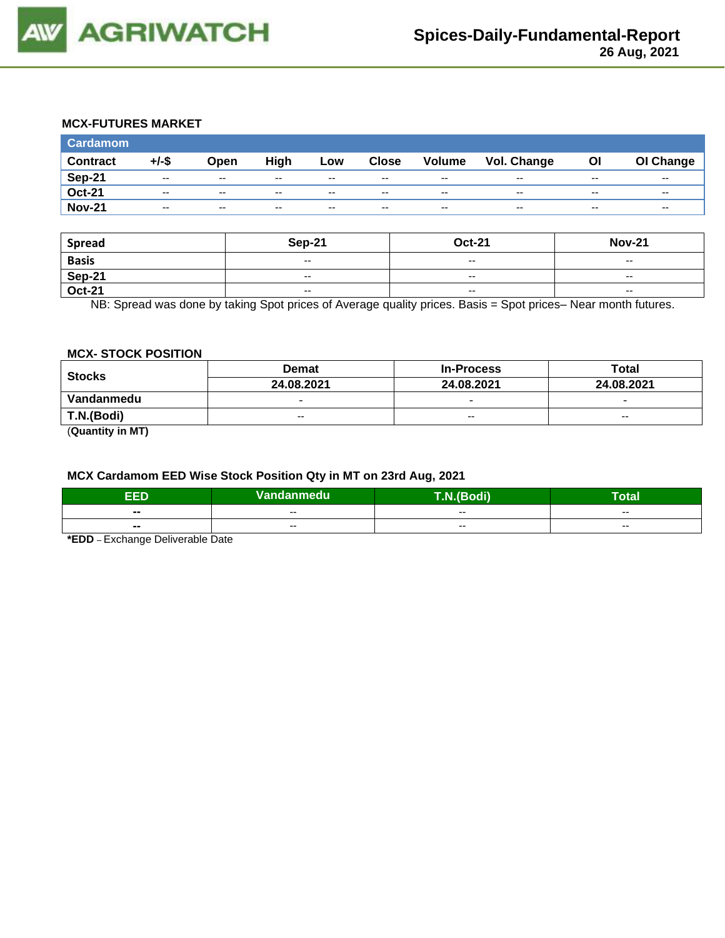

## **MCX-FUTURES MARKET**

| <b>Cardamom</b> |          |                          |       |       |              |                          |             |       |           |
|-----------------|----------|--------------------------|-------|-------|--------------|--------------------------|-------------|-------|-----------|
| <b>Contract</b> | $+/-$ \$ | Open                     | High  | Low   | <b>Close</b> | Volume                   | Vol. Change | Οl    | OI Change |
| <b>Sep-21</b>   | $- -$    | $\sim$ $\sim$            | $- -$ | $- -$ | $-$          | $\overline{\phantom{a}}$ | $- -$       | $- -$ | $- -$     |
| <b>Oct-21</b>   | $- -$    | $-$                      | $- -$ | $- -$ | $-$          | $\overline{\phantom{a}}$ | $- -$       | $- -$ | $- -$     |
| <b>Nov-21</b>   | $- -$    | $\overline{\phantom{a}}$ | $- -$ | $- -$ | $- -$        | $\overline{\phantom{a}}$ | $- -$       | $- -$ | $- -$     |

| <b>Spread</b> | <b>Sep-21</b>                                  | <b>Oct-21</b>            | <b>Nov-21</b>            |
|---------------|------------------------------------------------|--------------------------|--------------------------|
| <b>Basis</b>  | $\overline{\phantom{a}}$                       | $-$                      | $- -$                    |
| Sep-21        | $- -$                                          | $- -$                    | $- -$                    |
| <b>Oct-21</b> | $\hspace{0.1mm}-\hspace{0.1mm}-\hspace{0.1mm}$ | $\overline{\phantom{a}}$ | $\overline{\phantom{a}}$ |

NB: Spread was done by taking Spot prices of Average quality prices. Basis = Spot prices– Near month futures.

#### **MCX- STOCK POSITION**

| <b>Stocks</b> | <b>Demat</b>             | <b>In-Process</b>        | <b>Total</b>             |  |
|---------------|--------------------------|--------------------------|--------------------------|--|
|               | 24.08.2021               | 24.08.2021               | 24.08.2021               |  |
| Vandanmedu    | $\overline{\phantom{0}}$ | $\overline{\phantom{0}}$ | $\overline{\phantom{0}}$ |  |
| T.N.(Bodi)    | $- -$                    | $- -$                    | $- -$                    |  |
| $\sim$        |                          |                          |                          |  |

(**Quantity in MT)**

#### **MCX Cardamom EED Wise Stock Position Qty in MT on 23rd Aug, 2021**

| -6<br>- 2                | Vandanmedu | odi)<br>$\sqrt{2}$ | otal                     |
|--------------------------|------------|--------------------|--------------------------|
| $\blacksquare$           | $- -$      | $- -$              | $- -$                    |
| $\overline{\phantom{a}}$ | $- -$      | $- -$              | $\overline{\phantom{a}}$ |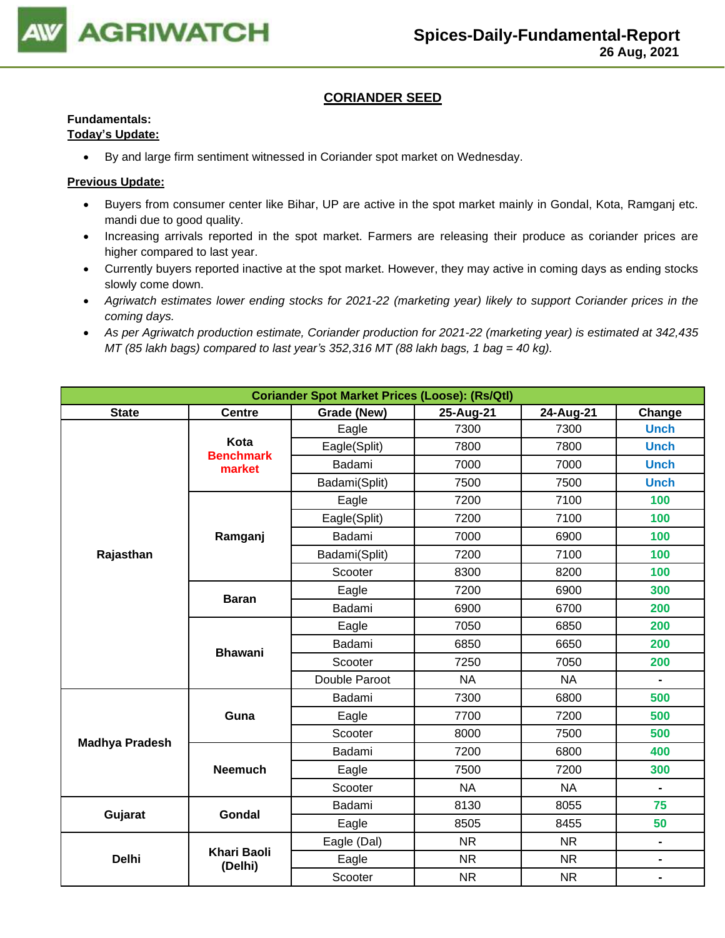

## **CORIANDER SEED**

## **Fundamentals:**

## **Today's Update:**

• By and large firm sentiment witnessed in Coriander spot market on Wednesday.

- Buyers from consumer center like Bihar, UP are active in the spot market mainly in Gondal, Kota, Ramganj etc. mandi due to good quality.
- Increasing arrivals reported in the spot market. Farmers are releasing their produce as coriander prices are higher compared to last year.
- Currently buyers reported inactive at the spot market. However, they may active in coming days as ending stocks slowly come down.
- *Agriwatch estimates lower ending stocks for 2021-22 (marketing year) likely to support Coriander prices in the coming days.*
- *As per Agriwatch production estimate, Coriander production for 2021-22 (marketing year) is estimated at 342,435 MT (85 lakh bags) compared to last year's 352,316 MT (88 lakh bags, 1 bag = 40 kg).*

| <b>Coriander Spot Market Prices (Loose): (Rs/Qtl)</b> |                               |               |           |           |                |  |  |
|-------------------------------------------------------|-------------------------------|---------------|-----------|-----------|----------------|--|--|
| <b>State</b>                                          | <b>Centre</b>                 | Grade (New)   | Change    |           |                |  |  |
|                                                       |                               | Eagle         | 7300      | 7300      | <b>Unch</b>    |  |  |
|                                                       | Kota<br><b>Benchmark</b>      | Eagle(Split)  | 7800      | 7800      | <b>Unch</b>    |  |  |
|                                                       | market                        | Badami        | 7000      | 7000      | <b>Unch</b>    |  |  |
|                                                       |                               | Badami(Split) | 7500      | 7500      | <b>Unch</b>    |  |  |
|                                                       |                               | Eagle         | 7200      | 7100      | 100            |  |  |
|                                                       |                               | Eagle(Split)  | 7200      | 7100      | 100            |  |  |
|                                                       | Ramganj                       | Badami        | 7000      | 6900      | 100            |  |  |
| Rajasthan                                             |                               | Badami(Split) | 7200      | 7100      | 100            |  |  |
|                                                       |                               | Scooter       | 8300      | 8200      | 100            |  |  |
|                                                       |                               | Eagle         | 7200      | 6900      | 300            |  |  |
|                                                       | <b>Baran</b>                  | Badami        | 6900      | 6700      | 200            |  |  |
|                                                       |                               | Eagle         | 7050      | 6850      | 200            |  |  |
|                                                       | <b>Bhawani</b>                | Badami        | 6850      | 6650      | 200            |  |  |
|                                                       |                               | Scooter       | 7250      | 7050      | 200            |  |  |
|                                                       |                               | Double Paroot | <b>NA</b> | <b>NA</b> | $\blacksquare$ |  |  |
|                                                       |                               | Badami        | 7300      | 6800      | 500            |  |  |
|                                                       | Guna                          | Eagle         | 7700      | 7200      | 500            |  |  |
|                                                       |                               | Scooter       | 8000      | 7500      | 500            |  |  |
| <b>Madhya Pradesh</b>                                 |                               | Badami        | 7200      | 6800      | 400            |  |  |
|                                                       | <b>Neemuch</b>                | Eagle         | 7500      | 7200      | 300            |  |  |
|                                                       |                               | Scooter       | <b>NA</b> | <b>NA</b> | $\blacksquare$ |  |  |
|                                                       | Gondal                        | Badami        | 8130      | 8055      | 75             |  |  |
| Gujarat                                               |                               | Eagle         | 8505      | 8455      | 50             |  |  |
|                                                       |                               | Eagle (Dal)   | <b>NR</b> | <b>NR</b> |                |  |  |
| <b>Delhi</b>                                          | <b>Khari Baoli</b><br>(Delhi) | Eagle         | <b>NR</b> | <b>NR</b> | $\blacksquare$ |  |  |
|                                                       |                               | Scooter       | <b>NR</b> | <b>NR</b> | $\blacksquare$ |  |  |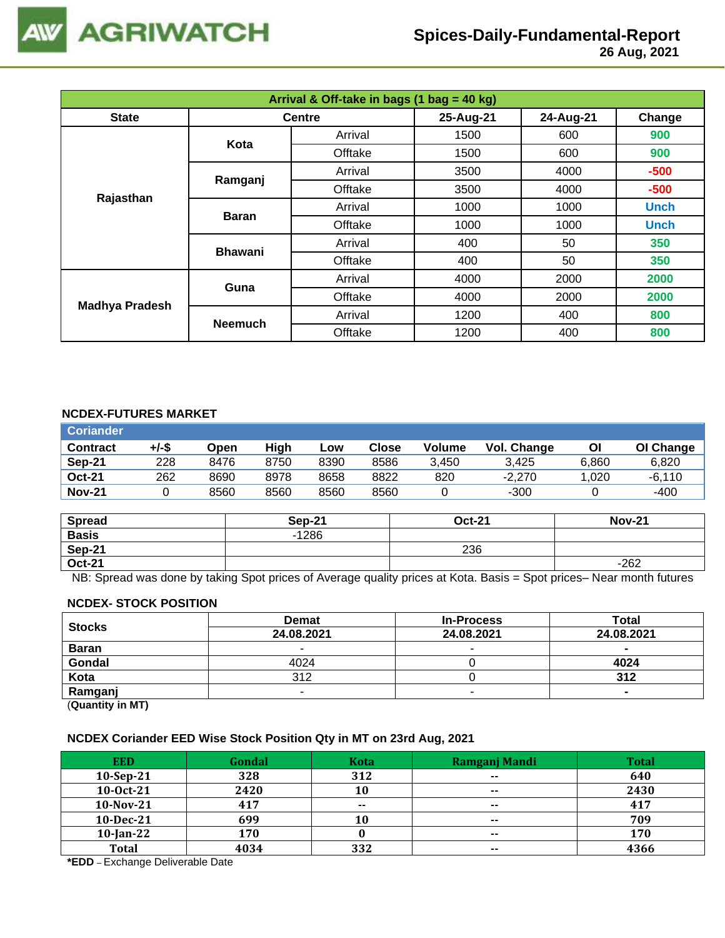

 **26 Aug, 2021**

| Arrival & Off-take in bags (1 bag = 40 kg) |                |               |           |           |             |  |
|--------------------------------------------|----------------|---------------|-----------|-----------|-------------|--|
| <b>State</b>                               |                | <b>Centre</b> | 25-Aug-21 | 24-Aug-21 | Change      |  |
|                                            | Kota           |               | 1500      | 600       | 900         |  |
|                                            |                | Offtake       | 1500      | 600       | 900         |  |
|                                            | Ramganj        | Arrival       | 3500      | 4000      | $-500$      |  |
|                                            |                | Offtake       | 3500      | 4000      | $-500$      |  |
| Rajasthan                                  | <b>Baran</b>   | Arrival       | 1000      | 1000      | <b>Unch</b> |  |
|                                            |                | Offtake       | 1000      | 1000      | <b>Unch</b> |  |
|                                            | <b>Bhawani</b> | Arrival       | 400       | 50        | 350         |  |
|                                            |                | Offtake       | 400       | 50        | 350         |  |
| <b>Madhya Pradesh</b>                      | Guna           | Arrival       | 4000      | 2000      | 2000        |  |
|                                            |                | Offtake       | 4000      | 2000      | 2000        |  |
|                                            |                | Arrival       | 1200      | 400       | 800         |  |
|                                            | <b>Neemuch</b> | Offtake       | 1200      | 400       | 800         |  |

### **NCDEX-FUTURES MARKET**

| <b>Coriander</b> |       |      |      |      |       |               |             |       |           |
|------------------|-------|------|------|------|-------|---------------|-------------|-------|-----------|
| <b>Contract</b>  | +/-\$ | Open | High | Low  | Close | <b>Volume</b> | Vol. Change | Οl    | OI Change |
| Sep-21           | 228   | 8476 | 8750 | 8390 | 8586  | 3.450         | 3.425       | 6.860 | 6.820     |
| <b>Oct-21</b>    | 262   | 8690 | 8978 | 8658 | 8822  | 820           | $-2.270$    | .020  | $-6.110$  |
| <b>Nov-21</b>    |       | 8560 | 8560 | 8560 | 8560  |               | $-300$      |       | $-400$    |

| <b>Spread</b> | <b>Sep-21</b> | <b>Oct-21</b> | <b>Nov-21</b> |
|---------------|---------------|---------------|---------------|
| <b>Basis</b>  | $-1286$       |               |               |
| Sep-21        |               | 236           |               |
| <b>Oct-21</b> |               |               | $-262$        |

NB: Spread was done by taking Spot prices of Average quality prices at Kota. Basis = Spot prices– Near month futures

#### **NCDEX- STOCK POSITION**

| <b>Stocks</b> | <b>Demat</b> | <b>In-Process</b>        | Total          |
|---------------|--------------|--------------------------|----------------|
|               | 24.08.2021   | 24.08.2021               | 24.08.2021     |
| <b>Baran</b>  |              |                          | $\blacksquare$ |
| Gondal        | 4024         |                          | 4024           |
| Kota          | 312          |                          | 312            |
| Ramganj       |              | $\overline{\phantom{a}}$ | $\blacksquare$ |
| (n1N)         |              |                          |                |

(**Quantity in MT)**

#### **NCDEX Coriander EED Wise Stock Position Qty in MT on 23rd Aug, 2021**

| <b>EED</b>   | Gondal | <b>Kota</b> | Ramganj Mandi | <b>Total</b> |
|--------------|--------|-------------|---------------|--------------|
| $10-Sep-21$  | 328    | 312         | $- -$         | 640          |
| 10-0ct-21    | 2420   | 10          | $\sim$        | 2430         |
| 10-Nov-21    | 417    | $- -$       | $- -$         | 417          |
| $10$ -Dec-21 | 699    | 10          | $\sim$        | 709          |
| $10$ -Jan-22 | 170    |             | $\sim$        | 170          |
| <b>Total</b> | 4034   | 332         | $\sim$ $\sim$ | 4366         |